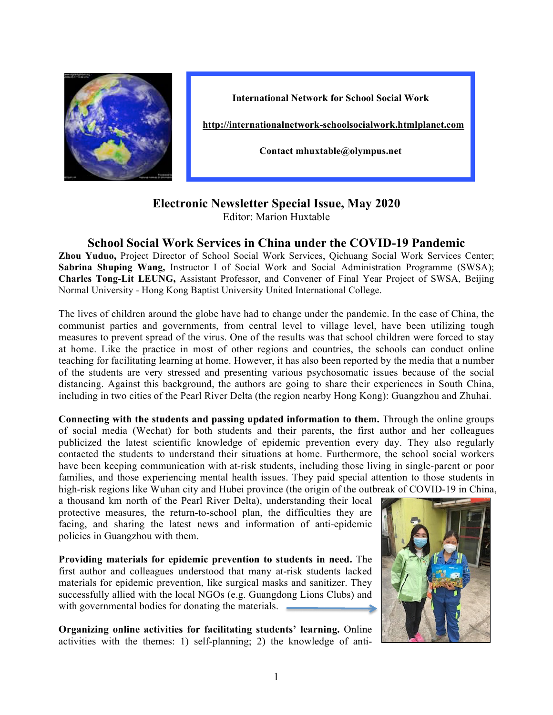

**International Network for School Social Work**

**http://internationalnetwork-schoolsocialwork.htmlplanet.com**

**Contact mhuxtable@olympus.net**

## **Electronic Newsletter Special Issue, May 2020**

Editor: Marion Huxtable

## **School Social Work Services in China under the COVID-19 Pandemic**

**Zhou Yuduo,** Project Director of School Social Work Services, Qichuang Social Work Services Center; **Sabrina Shuping Wang,** Instructor I of Social Work and Social Administration Programme (SWSA); **Charles Tong-Lit LEUNG,** Assistant Professor, and Convener of Final Year Project of SWSA, Beijing Normal University - Hong Kong Baptist University United International College.

The lives of children around the globe have had to change under the pandemic. In the case of China, the communist parties and governments, from central level to village level, have been utilizing tough measures to prevent spread of the virus. One of the results was that school children were forced to stay at home. Like the practice in most of other regions and countries, the schools can conduct online teaching for facilitating learning at home. However, it has also been reported by the media that a number of the students are very stressed and presenting various psychosomatic issues because of the social distancing. Against this background, the authors are going to share their experiences in South China, including in two cities of the Pearl River Delta (the region nearby Hong Kong): Guangzhou and Zhuhai.

**Connecting with the students and passing updated information to them.** Through the online groups of social media (Wechat) for both students and their parents, the first author and her colleagues publicized the latest scientific knowledge of epidemic prevention every day. They also regularly contacted the students to understand their situations at home. Furthermore, the school social workers have been keeping communication with at-risk students, including those living in single-parent or poor families, and those experiencing mental health issues. They paid special attention to those students in high-risk regions like Wuhan city and Hubei province (the origin of the outbreak of COVID-19 in China,

a thousand km north of the Pearl River Delta), understanding their local protective measures, the return-to-school plan, the difficulties they are facing, and sharing the latest news and information of anti-epidemic policies in Guangzhou with them.

**Providing materials for epidemic prevention to students in need.** The first author and colleagues understood that many at-risk students lacked materials for epidemic prevention, like surgical masks and sanitizer. They successfully allied with the local NGOs (e.g. Guangdong Lions Clubs) and with governmental bodies for donating the materials.

**Organizing online activities for facilitating students' learning.** Online activities with the themes: 1) self-planning; 2) the knowledge of anti-

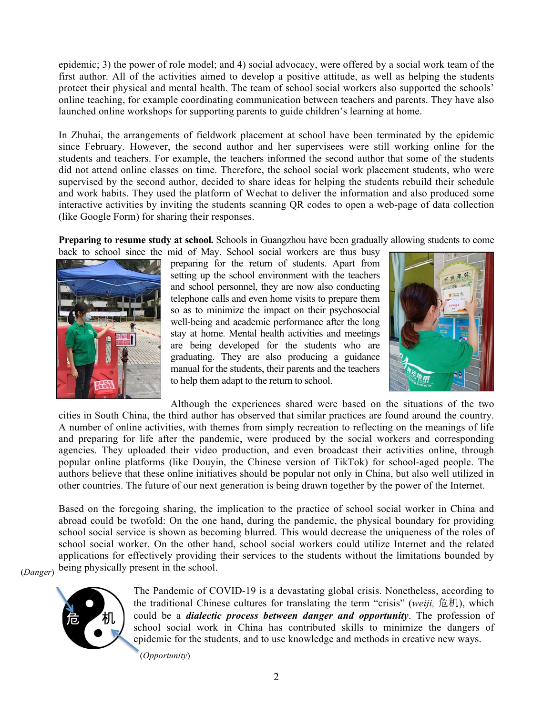epidemic; 3) the power of role model; and 4) social advocacy, were offered by a social work team of the first author. All of the activities aimed to develop a positive attitude, as well as helping the students protect their physical and mental health. The team of school social workers also supported the schools' online teaching, for example coordinating communication between teachers and parents. They have also launched online workshops for supporting parents to guide children's learning at home.

In Zhuhai, the arrangements of fieldwork placement at school have been terminated by the epidemic since February. However, the second author and her supervisees were still working online for the students and teachers. For example, the teachers informed the second author that some of the students did not attend online classes on time. Therefore, the school social work placement students, who were supervised by the second author, decided to share ideas for helping the students rebuild their schedule and work habits. They used the platform of Wechat to deliver the information and also produced some interactive activities by inviting the students scanning QR codes to open a web-page of data collection (like Google Form) for sharing their responses.

**Preparing to resume study at school.** Schools in Guangzhou have been gradually allowing students to come



back to school since the mid of May. School social workers are thus busy preparing for the return of students. Apart from setting up the school environment with the teachers and school personnel, they are now also conducting telephone calls and even home visits to prepare them so as to minimize the impact on their psychosocial well-being and academic performance after the long stay at home. Mental health activities and meetings are being developed for the students who are graduating. They are also producing a guidance manual for the students, their parents and the teachers to help them adapt to the return to school.



Although the experiences shared were based on the situations of the two cities in South China, the third author has observed that similar practices are found around the country. A number of online activities, with themes from simply recreation to reflecting on the meanings of life and preparing for life after the pandemic, were produced by the social workers and corresponding agencies. They uploaded their video production, and even broadcast their activities online, through popular online platforms (like Douyin, the Chinese version of TikTok) for school-aged people. The authors believe that these online initiatives should be popular not only in China, but also well utilized in other countries. The future of our next generation is being drawn together by the power of the Internet.

Based on the foregoing sharing, the implication to the practice of school social worker in China and abroad could be twofold: On the one hand, during the pandemic, the physical boundary for providing school social service is shown as becoming blurred. This would decrease the uniqueness of the roles of school social worker. On the other hand, school social workers could utilize Internet and the related applications for effectively providing their services to the students without the limitations bounded by being physically present in the school.

(*Danger*)



The Pandemic of COVID-19 is a devastating global crisis. Nonetheless, according to the traditional Chinese cultures for translating the term "crisis" (*weiji,* 危机), which could be a *dialectic process between danger and opportunity*. The profession of school social work in China has contributed skills to minimize the dangers of epidemic for the students, and to use knowledge and methods in creative new ways.

(*Opportunity*)